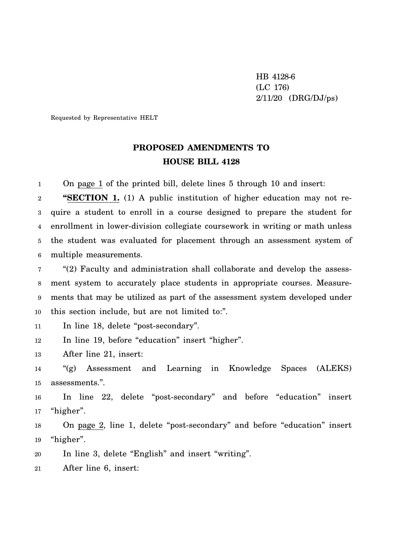HB 4128-6 (LC 176) 2/11/20 (DRG/DJ/ps)

Requested by Representative HELT

## **PROPOSED AMENDMENTS TO HOUSE BILL 4128**

1 On page 1 of the printed bill, delete lines 5 through 10 and insert:

2 3 4 5 6 **"SECTION 1.** (1) A public institution of higher education may not require a student to enroll in a course designed to prepare the student for enrollment in lower-division collegiate coursework in writing or math unless the student was evaluated for placement through an assessment system of multiple measurements.

7 8 9 10 "(2) Faculty and administration shall collaborate and develop the assessment system to accurately place students in appropriate courses. Measurements that may be utilized as part of the assessment system developed under this section include, but are not limited to:".

11 In line 18, delete "post-secondary".

12 In line 19, before "education" insert "higher".

13 After line 21, insert:

14 15 "(g) Assessment and Learning in Knowledge Spaces (ALEKS) assessments.".

16 17 In line 22, delete "post-secondary" and before "education" insert "higher".

18 19 On page 2, line 1, delete "post-secondary" and before "education" insert "higher".

20 In line 3, delete "English" and insert "writing".

21 After line 6, insert: